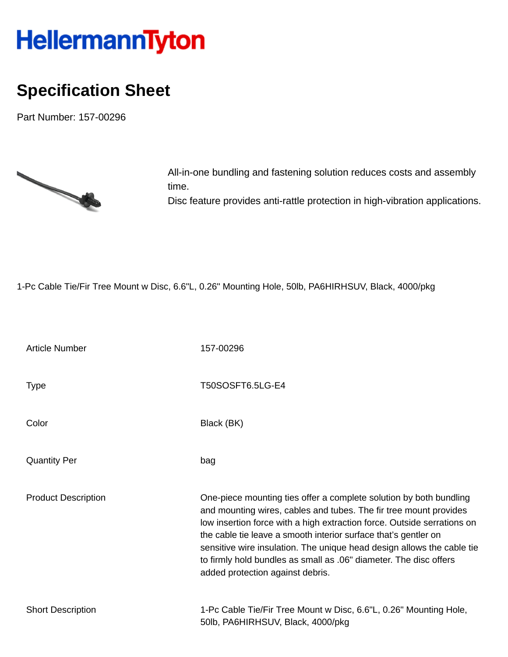## HellermannTyton

## **Specification Sheet**

Part Number: 157-00296



All-in-one bundling and fastening solution reduces costs and assembly time. Disc feature provides anti-rattle protection in high-vibration applications.

1-Pc Cable Tie/Fir Tree Mount w Disc, 6.6"L, 0.26" Mounting Hole, 50lb, PA6HIRHSUV, Black, 4000/pkg

| <b>Article Number</b>      | 157-00296                                                                                                                                                                                                                                                                                                                                                                                                                                                                |
|----------------------------|--------------------------------------------------------------------------------------------------------------------------------------------------------------------------------------------------------------------------------------------------------------------------------------------------------------------------------------------------------------------------------------------------------------------------------------------------------------------------|
| <b>Type</b>                | T50SOSFT6.5LG-E4                                                                                                                                                                                                                                                                                                                                                                                                                                                         |
| Color                      | Black (BK)                                                                                                                                                                                                                                                                                                                                                                                                                                                               |
| <b>Quantity Per</b>        | bag                                                                                                                                                                                                                                                                                                                                                                                                                                                                      |
| <b>Product Description</b> | One-piece mounting ties offer a complete solution by both bundling<br>and mounting wires, cables and tubes. The fir tree mount provides<br>low insertion force with a high extraction force. Outside serrations on<br>the cable tie leave a smooth interior surface that's gentler on<br>sensitive wire insulation. The unique head design allows the cable tie<br>to firmly hold bundles as small as .06" diameter. The disc offers<br>added protection against debris. |
| <b>Short Description</b>   | 1-Pc Cable Tie/Fir Tree Mount w Disc, 6.6"L, 0.26" Mounting Hole,<br>50lb, PA6HIRHSUV, Black, 4000/pkg                                                                                                                                                                                                                                                                                                                                                                   |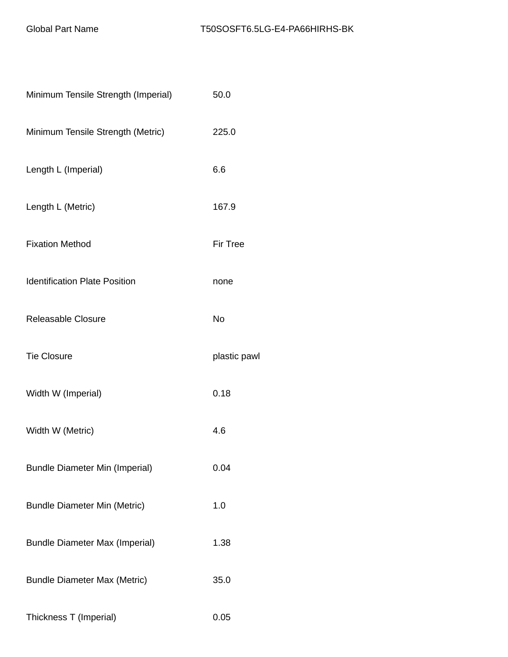| Minimum Tensile Strength (Imperial)   | 50.0            |
|---------------------------------------|-----------------|
| Minimum Tensile Strength (Metric)     | 225.0           |
| Length L (Imperial)                   | 6.6             |
| Length L (Metric)                     | 167.9           |
| <b>Fixation Method</b>                | <b>Fir Tree</b> |
| <b>Identification Plate Position</b>  | none            |
| Releasable Closure                    | No              |
| <b>Tie Closure</b>                    | plastic pawl    |
| Width W (Imperial)                    | 0.18            |
| Width W (Metric)                      | 4.6             |
| <b>Bundle Diameter Min (Imperial)</b> | 0.04            |
| <b>Bundle Diameter Min (Metric)</b>   | 1.0             |
| <b>Bundle Diameter Max (Imperial)</b> | 1.38            |
| <b>Bundle Diameter Max (Metric)</b>   | 35.0            |
| Thickness T (Imperial)                | 0.05            |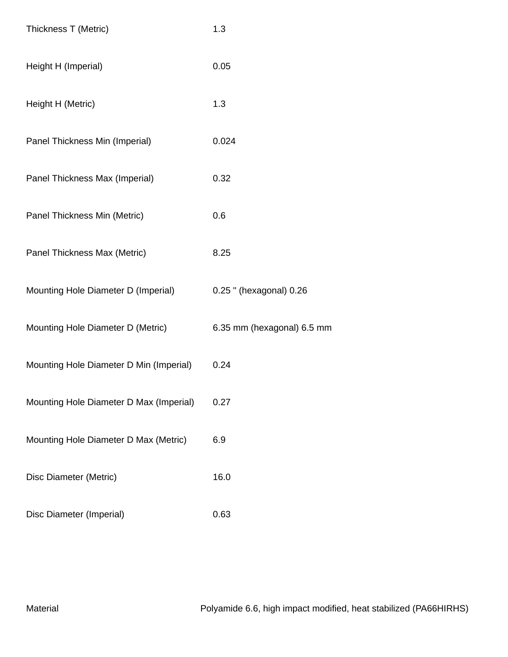| Thickness T (Metric)                    | 1.3                        |
|-----------------------------------------|----------------------------|
| Height H (Imperial)                     | 0.05                       |
| Height H (Metric)                       | 1.3                        |
| Panel Thickness Min (Imperial)          | 0.024                      |
| Panel Thickness Max (Imperial)          | 0.32                       |
| Panel Thickness Min (Metric)            | 0.6                        |
| Panel Thickness Max (Metric)            | 8.25                       |
| Mounting Hole Diameter D (Imperial)     | 0.25 " (hexagonal) 0.26    |
| Mounting Hole Diameter D (Metric)       | 6.35 mm (hexagonal) 6.5 mm |
| Mounting Hole Diameter D Min (Imperial) | 0.24                       |
| Mounting Hole Diameter D Max (Imperial) | 0.27                       |
| Mounting Hole Diameter D Max (Metric)   | 6.9                        |
| Disc Diameter (Metric)                  | 16.0                       |
| Disc Diameter (Imperial)                | 0.63                       |